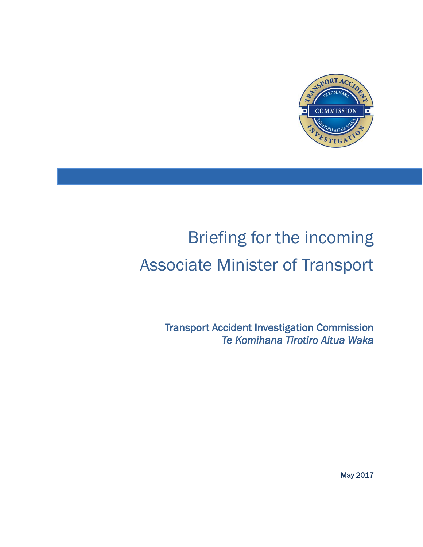

# Briefing for the incoming Associate Minister of Transport

Transport Accident Investigation Commission *Te Komihana Tirotiro Aitua Waka* 

May 2017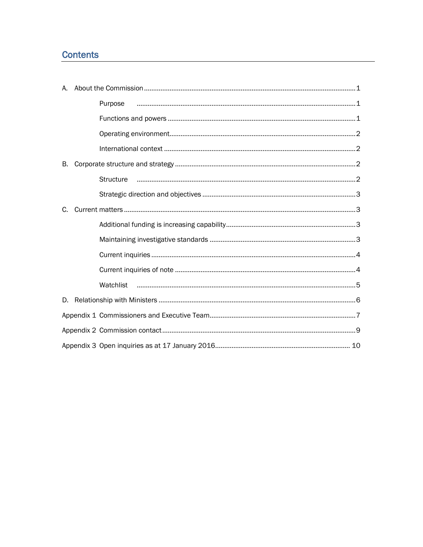# **Contents**

|    | Purpose          |
|----|------------------|
|    |                  |
|    |                  |
|    |                  |
| В. |                  |
|    | <b>Structure</b> |
|    |                  |
| C. |                  |
|    |                  |
|    |                  |
|    |                  |
|    |                  |
|    |                  |
| D. |                  |
|    |                  |
|    |                  |
|    |                  |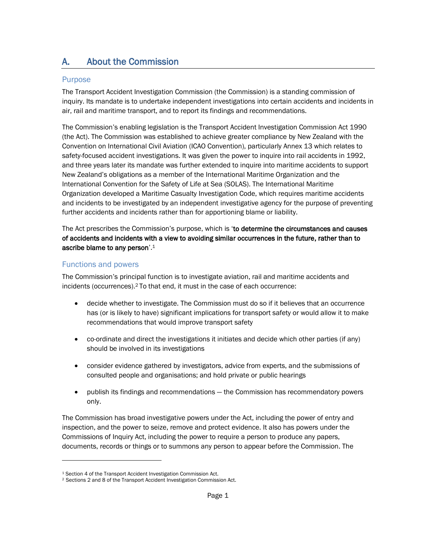# <span id="page-2-0"></span>A. About the Commission

#### <span id="page-2-1"></span>Purpose

The Transport Accident Investigation Commission (the Commission) is a standing commission of inquiry. Its mandate is to undertake independent investigations into certain accidents and incidents in air, rail and maritime transport, and to report its findings and recommendations.

The Commission's enabling legislation is the Transport Accident Investigation Commission Act 1990 (the Act). The Commission was established to achieve greater compliance by New Zealand with the Convention on International Civil Aviation (ICAO Convention), particularly Annex 13 which relates to safety-focused accident investigations. It was given the power to inquire into rail accidents in 1992, and three years later its mandate was further extended to inquire into maritime accidents to support New Zealand's obligations as a member of the International Maritime Organization and the International Convention for the Safety of Life at Sea (SOLAS). The International Maritime Organization developed a Maritime Casualty Investigation Code, which requires maritime accidents and incidents to be investigated by an independent investigative agency for the purpose of preventing further accidents and incidents rather than for apportioning blame or liability.

The Act prescribes the Commission's purpose, which is 'to determine the circumstances and causes of accidents and incidents with a view to avoiding similar occurrences in the future, rather than to ascribe blame to any person'. 1

### <span id="page-2-2"></span>Functions and powers

 $\overline{a}$ 

The Commission's principal function is to investigate aviation, rail and maritime accidents and incidents (occurrences).<sup>2</sup> To that end, it must in the case of each occurrence:

- decide whether to investigate. The Commission must do so if it believes that an occurrence has (or is likely to have) significant implications for transport safety or would allow it to make recommendations that would improve transport safety
- co-ordinate and direct the investigations it initiates and decide which other parties (if any) should be involved in its investigations
- consider evidence gathered by investigators, advice from experts, and the submissions of consulted people and organisations; and hold private or public hearings
- publish its findings and recommendations the Commission has recommendatory powers only.

The Commission has broad investigative powers under the Act, including the power of entry and inspection, and the power to seize, remove and protect evidence. It also has powers under the Commissions of Inquiry Act, including the power to require a person to produce any papers, documents, records or things or to summons any person to appear before the Commission. The

<sup>&</sup>lt;sup>1</sup> Section 4 of the Transport Accident Investigation Commission Act.

<sup>2</sup> Sections 2 and 8 of the Transport Accident Investigation Commission Act.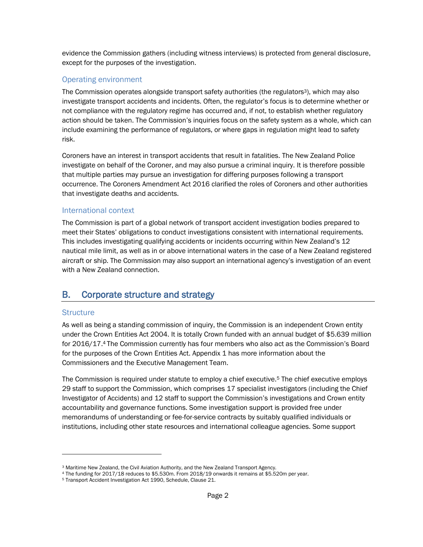evidence the Commission gathers (including witness interviews) is protected from general disclosure, except for the purposes of the investigation.

#### <span id="page-3-0"></span>Operating environment

The Commission operates alongside transport safety authorities (the regulators<sup>3</sup>), which may also investigate transport accidents and incidents. Often, the regulator's focus is to determine whether or not compliance with the regulatory regime has occurred and, if not, to establish whether regulatory action should be taken. The Commission's inquiries focus on the safety system as a whole, which can include examining the performance of regulators, or where gaps in regulation might lead to safety risk.

Coroners have an interest in transport accidents that result in fatalities. The New Zealand Police investigate on behalf of the Coroner, and may also pursue a criminal inquiry. It is therefore possible that multiple parties may pursue an investigation for differing purposes following a transport occurrence. The Coroners Amendment Act 2016 clarified the roles of Coroners and other authorities that investigate deaths and accidents.

#### <span id="page-3-1"></span>International context

The Commission is part of a global network of transport accident investigation bodies prepared to meet their States' obligations to conduct investigations consistent with international requirements. This includes investigating qualifying accidents or incidents occurring within New Zealand's 12 nautical mile limit, as well as in or above international waters in the case of a New Zealand registered aircraft or ship. The Commission may also support an international agency's investigation of an event with a New Zealand connection.

## <span id="page-3-2"></span>B. Corporate structure and strategy

#### <span id="page-3-3"></span>**Structure**

 $\overline{a}$ 

As well as being a standing commission of inquiry, the Commission is an independent Crown entity under the Crown Entities Act 2004. It is totally Crown funded with an annual budget of \$5.639 million for 2016/17. <sup>4</sup> The Commission currently has four members who also act as the Commission's Board for the purposes of the Crown Entities Act. Appendix 1 has more information about the Commissioners and the Executive Management Team.

The Commission is required under statute to employ a chief executive.<sup>5</sup> The chief executive employs 29 staff to support the Commission, which comprises 17 specialist investigators (including the Chief Investigator of Accidents) and 12 staff to support the Commission's investigations and Crown entity accountability and governance functions. Some investigation support is provided free under memorandums of understanding or fee-for-service contracts by suitably qualified individuals or institutions, including other state resources and international colleague agencies. Some support

<sup>3</sup> Maritime New Zealand, the Civil Aviation Authority, and the New Zealand Transport Agency.

<sup>4</sup> The funding for 2017/18 reduces to \$5.530m. From 2018/19 onwards it remains at \$5.520m per year.

<sup>5</sup> Transport Accident Investigation Act 1990, Schedule, Clause 21.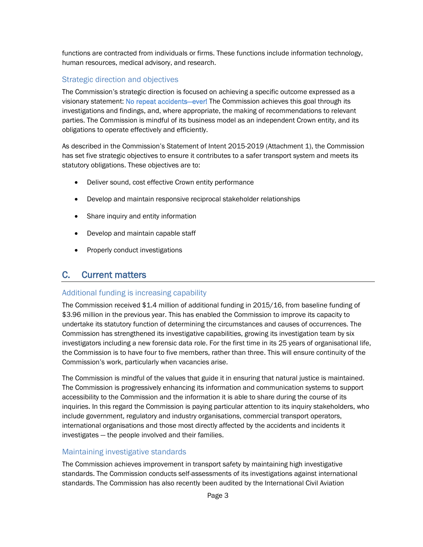functions are contracted from individuals or firms. These functions include information technology, human resources, medical advisory, and research.

## <span id="page-4-0"></span>Strategic direction and objectives

The Commission's strategic direction is focused on achieving a specific outcome expressed as a visionary statement: No repeat accidents—ever! The Commission achieves this goal through its investigations and findings, and, where appropriate, the making of recommendations to relevant parties. The Commission is mindful of its business model as an independent Crown entity, and its obligations to operate effectively and efficiently.

As described in the Commission's Statement of Intent 2015-2019 (Attachment 1), the Commission has set five strategic objectives to ensure it contributes to a safer transport system and meets its statutory obligations. These objectives are to:

- Deliver sound, cost effective Crown entity performance
- Develop and maintain responsive reciprocal stakeholder relationships
- Share inquiry and entity information
- Develop and maintain capable staff
- Properly conduct investigations

## <span id="page-4-1"></span>C. Current matters

## <span id="page-4-2"></span>Additional funding is increasing capability

The Commission received \$1.4 million of additional funding in 2015/16, from baseline funding of \$3.96 million in the previous year. This has enabled the Commission to improve its capacity to undertake its statutory function of determining the circumstances and causes of occurrences. The Commission has strengthened its investigative capabilities, growing its investigation team by six investigators including a new forensic data role. For the first time in its 25 years of organisational life, the Commission is to have four to five members, rather than three. This will ensure continuity of the Commission's work, particularly when vacancies arise.

The Commission is mindful of the values that guide it in ensuring that natural justice is maintained. The Commission is progressively enhancing its information and communication systems to support accessibility to the Commission and the information it is able to share during the course of its inquiries. In this regard the Commission is paying particular attention to its inquiry stakeholders, who include government, regulatory and industry organisations, commercial transport operators, international organisations and those most directly affected by the accidents and incidents it investigates — the people involved and their families.

## <span id="page-4-3"></span>Maintaining investigative standards

The Commission achieves improvement in transport safety by maintaining high investigative standards. The Commission conducts self-assessments of its investigations against international standards. The Commission has also recently been audited by the International Civil Aviation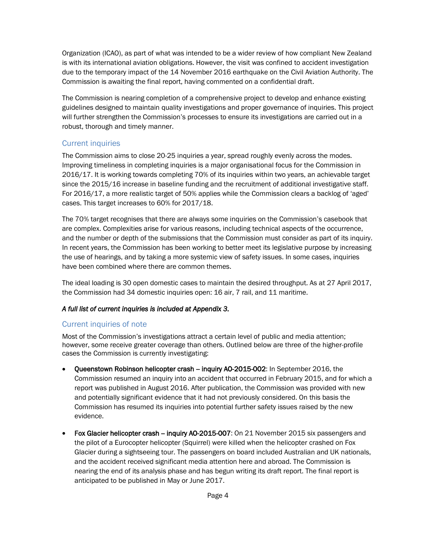Organization (ICAO), as part of what was intended to be a wider review of how compliant New Zealand is with its international aviation obligations. However, the visit was confined to accident investigation due to the temporary impact of the 14 November 2016 earthquake on the Civil Aviation Authority. The Commission is awaiting the final report, having commented on a confidential draft.

The Commission is nearing completion of a comprehensive project to develop and enhance existing guidelines designed to maintain quality investigations and proper governance of inquiries. This project will further strengthen the Commission's processes to ensure its investigations are carried out in a robust, thorough and timely manner.

## <span id="page-5-0"></span>Current inquiries

The Commission aims to close 20-25 inquiries a year, spread roughly evenly across the modes. Improving timeliness in completing inquiries is a major organisational focus for the Commission in 2016/17. It is working towards completing 70% of its inquiries within two years, an achievable target since the 2015/16 increase in baseline funding and the recruitment of additional investigative staff. For 2016/17, a more realistic target of 50% applies while the Commission clears a backlog of 'aged' cases. This target increases to 60% for 2017/18.

The 70% target recognises that there are always some inquiries on the Commission's casebook that are complex. Complexities arise for various reasons, including technical aspects of the occurrence, and the number or depth of the submissions that the Commission must consider as part of its inquiry. In recent years, the Commission has been working to better meet its legislative purpose by increasing the use of hearings, and by taking a more systemic view of safety issues. In some cases, inquiries have been combined where there are common themes.

The ideal loading is 30 open domestic cases to maintain the desired throughput. As at 27 April 2017, the Commission had 34 domestic inquiries open: 16 air, 7 rail, and 11 maritime.

#### *A full list of current inquiries is included at Appendix 3.*

## <span id="page-5-1"></span>Current inquiries of note

Most of the Commission's investigations attract a certain level of public and media attention; however, some receive greater coverage than others. Outlined below are three of the higher-profile cases the Commission is currently investigating:

- Queenstown Robinson helicopter crash inquiry AO-2015-002: In September 2016, the Commission resumed an inquiry into an accident that occurred in February 2015, and for which a report was published in August 2016. After publication, the Commission was provided with new and potentially significant evidence that it had not previously considered. On this basis the Commission has resumed its inquiries into potential further safety issues raised by the new evidence.
- Fox Glacier helicopter crash inquiry AO-2015-007: On 21 November 2015 six passengers and the pilot of a Eurocopter helicopter (Squirrel) were killed when the helicopter crashed on Fox Glacier during a sightseeing tour. The passengers on board included Australian and UK nationals, and the accident received significant media attention here and abroad. The Commission is nearing the end of its analysis phase and has begun writing its draft report. The final report is anticipated to be published in May or June 2017.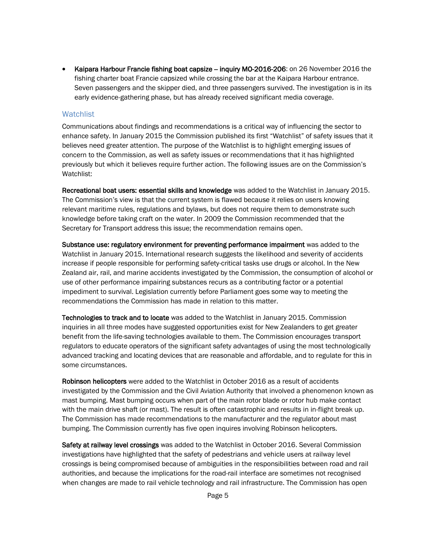• Kaipara Harbour Francie fishing boat capsize – inquiry MO-2016-206: on 26 November 2016 the fishing charter boat Francie capsized while crossing the bar at the Kaipara Harbour entrance. Seven passengers and the skipper died, and three passengers survived. The investigation is in its early evidence-gathering phase, but has already received significant media coverage.

#### <span id="page-6-0"></span>**Watchlist**

Communications about findings and recommendations is a critical way of influencing the sector to enhance safety. In January 2015 the Commission published its first "Watchlist" of safety issues that it believes need greater attention. The purpose of the Watchlist is to highlight emerging issues of concern to the Commission, as well as safety issues or recommendations that it has highlighted previously but which it believes require further action. The following issues are on the Commission's Watchlist:

Recreational boat users: essential skills and knowledge was added to the Watchlist in January 2015. The Commission's view is that the current system is flawed because it relies on users knowing relevant maritime rules, regulations and bylaws, but does not require them to demonstrate such knowledge before taking craft on the water. In 2009 the Commission recommended that the Secretary for Transport address this issue; the recommendation remains open.

Substance use: regulatory environment for preventing performance impairment was added to the Watchlist in January 2015. International research suggests the likelihood and severity of accidents increase if people responsible for performing safety-critical tasks use drugs or alcohol. In the New Zealand air, rail, and marine accidents investigated by the Commission, the consumption of alcohol or use of other performance impairing substances recurs as a contributing factor or a potential impediment to survival. Legislation currently before Parliament goes some way to meeting the recommendations the Commission has made in relation to this matter.

Technologies to track and to locate was added to the Watchlist in January 2015. Commission inquiries in all three modes have suggested opportunities exist for New Zealanders to get greater benefit from the life-saving technologies available to them. The Commission encourages transport regulators to educate operators of the significant safety advantages of using the most technologically advanced tracking and locating devices that are reasonable and affordable, and to regulate for this in some circumstances.

Robinson helicopters were added to the Watchlist in October 2016 as a result of accidents investigated by the Commission and the Civil Aviation Authority that involved a phenomenon known as mast bumping. Mast bumping occurs when part of the main rotor blade or rotor hub make contact with the main drive shaft (or mast). The result is often catastrophic and results in in-flight break up. The Commission has made recommendations to the manufacturer and the regulator about mast bumping. The Commission currently has five open inquires involving Robinson helicopters.

Safety at railway level crossings was added to the Watchlist in October 2016. Several Commission investigations have highlighted that the safety of pedestrians and vehicle users at railway level crossings is being compromised because of ambiguities in the responsibilities between road and rail authorities, and because the implications for the road-rail interface are sometimes not recognised when changes are made to rail vehicle technology and rail infrastructure. The Commission has open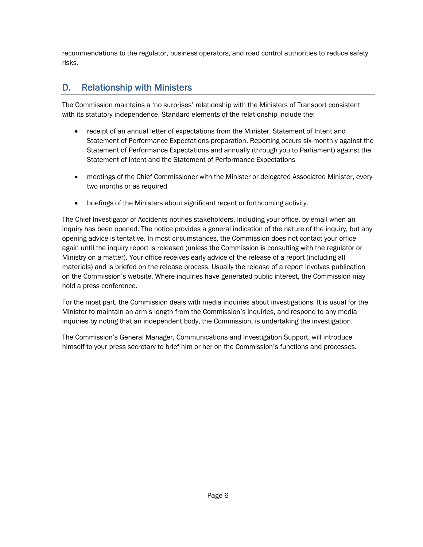recommendations to the regulator, business operators, and road control authorities to reduce safety risks.

# <span id="page-7-0"></span>D. Relationship with Ministers

The Commission maintains a 'no surprises' relationship with the Ministers of Transport consistent with its statutory independence. Standard elements of the relationship include the:

- receipt of an annual letter of expectations from the Minister, Statement of Intent and Statement of Performance Expectations preparation. Reporting occurs six-monthly against the Statement of Performance Expectations and annually (through you to Parliament) against the Statement of Intent and the Statement of Performance Expectations
- meetings of the Chief Commissioner with the Minister or delegated Associated Minister, every two months or as required
- briefings of the Ministers about significant recent or forthcoming activity.

The Chief Investigator of Accidents notifies stakeholders, including your office, by email when an inquiry has been opened. The notice provides a general indication of the nature of the inquiry, but any opening advice is tentative. In most circumstances, the Commission does not contact your office again until the inquiry report is released (unless the Commission is consulting with the regulator or Ministry on a matter). Your office receives early advice of the release of a report (including all materials) and is briefed on the release process. Usually the release of a report involves publication on the Commission's website. Where inquiries have generated public interest, the Commission may hold a press conference.

For the most part, the Commission deals with media inquiries about investigations. It is usual for the Minister to maintain an arm's length from the Commission's inquiries, and respond to any media inquiries by noting that an independent body, the Commission, is undertaking the investigation.

The Commission's General Manager, Communications and Investigation Support, will introduce himself to your press secretary to brief him or her on the Commission's functions and processes.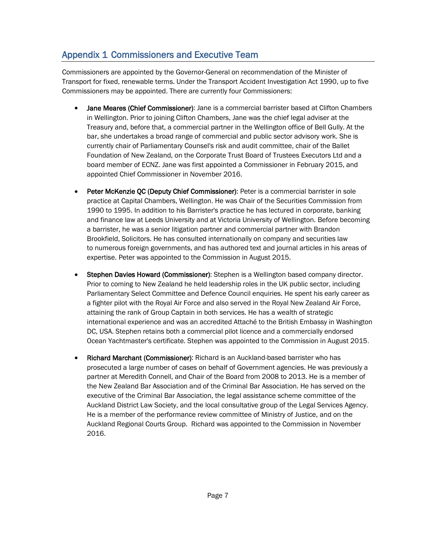# <span id="page-8-0"></span>Appendix 1 Commissioners and Executive Team

Commissioners are appointed by the Governor-General on recommendation of the Minister of Transport for fixed, renewable terms. Under the Transport Accident Investigation Act 1990, up to five Commissioners may be appointed. There are currently four Commissioners:

- Jane Meares (Chief Commissioner): Jane is a commercial barrister based at Clifton Chambers in Wellington. Prior to joining Clifton Chambers, Jane was the chief legal adviser at the Treasury and, before that, a commercial partner in the Wellington office of Bell Gully. At the bar, she undertakes a broad range of commercial and public sector advisory work. She is currently chair of Parliamentary Counsel's risk and audit committee, chair of the Ballet Foundation of New Zealand, on the Corporate Trust Board of Trustees Executors Ltd and a board member of ECNZ. Jane was first appointed a Commissioner in February 2015, and appointed Chief Commissioner in November 2016.
- Peter McKenzie QC (Deputy Chief Commissioner): Peter is a commercial barrister in sole practice at Capital Chambers, Wellington. He was Chair of the Securities Commission from 1990 to 1995. In addition to his Barrister's practice he has lectured in corporate, banking and finance law at Leeds University and at Victoria University of Wellington. Before becoming a barrister, he was a senior litigation partner and commercial partner with Brandon Brookfield, Solicitors. He has consulted internationally on company and securities law to numerous foreign governments, and has authored text and journal articles in his areas of expertise. Peter was appointed to the Commission in August 2015.
- Stephen Davies Howard (Commissioner): Stephen is a Wellington based company director. Prior to coming to New Zealand he held leadership roles in the UK public sector, including Parliamentary Select Committee and Defence Council enquiries. He spent his early career as a fighter pilot with the Royal Air Force and also served in the Royal New Zealand Air Force, attaining the rank of Group Captain in both services. He has a wealth of strategic international experience and was an accredited Attaché to the British Embassy in Washington DC, USA. Stephen retains both a commercial pilot licence and a commercially endorsed Ocean Yachtmaster's certificate. Stephen was appointed to the Commission in August 2015.
- Richard Marchant (Commissioner): Richard is an Auckland-based barrister who has prosecuted a large number of cases on behalf of Government agencies. He was previously a partner at Meredith Connell, and Chair of the Board from 2008 to 2013. He is a member of the New Zealand Bar Association and of the Criminal Bar Association. He has served on the executive of the Criminal Bar Association, the legal assistance scheme committee of the Auckland District Law Society, and the local consultative group of the Legal Services Agency. He is a member of the performance review committee of Ministry of Justice, and on the Auckland Regional Courts Group. Richard was appointed to the Commission in November 2016.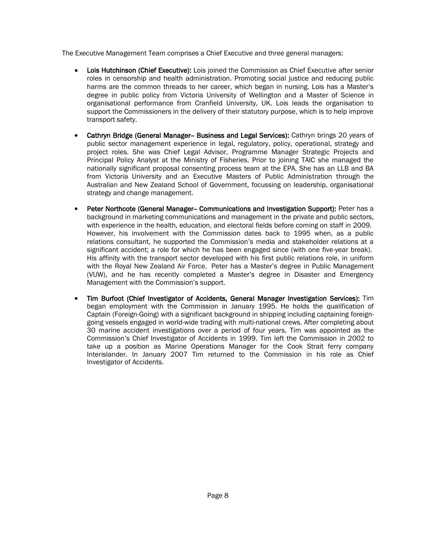The Executive Management Team comprises a Chief Executive and three general managers:

- Lois Hutchinson (Chief Executive): Lois joined the Commission as Chief Executive after senior roles in censorship and health administration. Promoting social justice and reducing public harms are the common threads to her career, which began in nursing. Lois has a Master's degree in public policy from Victoria University of Wellington and a Master of Science in organisational performance from Cranfield University, UK. Lois leads the organisation to support the Commissioners in the delivery of their statutory purpose, which is to help improve transport safety.
- Cathryn Bridge (General Manager-- Business and Legal Services): Cathryn brings 20 years of public sector management experience in legal, regulatory, policy, operational, strategy and project roles. She was Chief Legal Advisor, Programme Manager Strategic Projects and Principal Policy Analyst at the Ministry of Fisheries. Prior to joining TAIC she managed the nationally significant proposal consenting process team at the EPA. She has an LLB and BA from Victoria University and an Executive Masters of Public Administration through the Australian and New Zealand School of Government, focussing on leadership, organisational strategy and change management.
- Peter Northcote (General Manager-- Communications and Investigation Support): Peter has a background in marketing communications and management in the private and public sectors, with experience in the health, education, and electoral fields before coming on staff in 2009. However, his involvement with the Commission dates back to 1995 when, as a public relations consultant, he supported the Commission's media and stakeholder relations at a significant accident; a role for which he has been engaged since (with one five-year break). His affinity with the transport sector developed with his first public relations role, in uniform with the Royal New Zealand Air Force. Peter has a Master's degree in Public Management (VUW), and he has recently completed a Master's degree in Disaster and Emergency Management with the Commission's support.
- Tim Burfoot (Chief Investigator of Accidents, General Manager Investigation Services): Tim began employment with the Commission in January 1995. He holds the qualification of Captain (Foreign-Going) with a significant background in shipping including captaining foreigngoing vessels engaged in world-wide trading with multi-national crews. After completing about 30 marine accident investigations over a period of four years, Tim was appointed as the Commission's Chief Investigator of Accidents in 1999. Tim left the Commission in 2002 to take up a position as Marine Operations Manager for the Cook Strait ferry company Interislander. In January 2007 Tim returned to the Commission in his role as Chief Investigator of Accidents.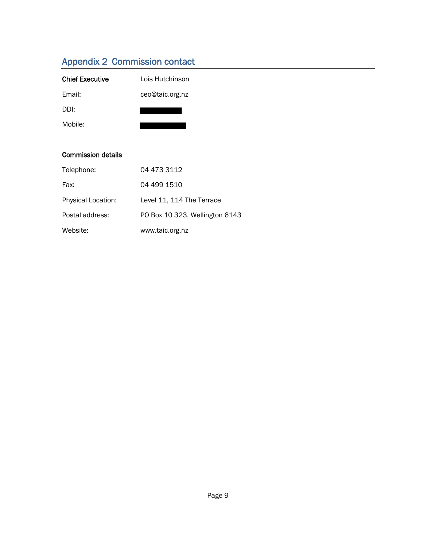# <span id="page-10-0"></span>Appendix 2 Commission contact

| <b>Chief Executive</b>    | Lois Hutchinson                |
|---------------------------|--------------------------------|
| Email:                    | ceo@taic.org.nz                |
| DDI:                      |                                |
| Mobile:                   |                                |
|                           |                                |
| <b>Commission details</b> |                                |
| Telephone:                | 04 473 3112                    |
| Fax:                      | 04 499 1510                    |
| Physical Location:        | Level 11, 114 The Terrace      |
| Postal address:           | PO Box 10 323, Wellington 6143 |
| Website:                  | www.taic.org.nz                |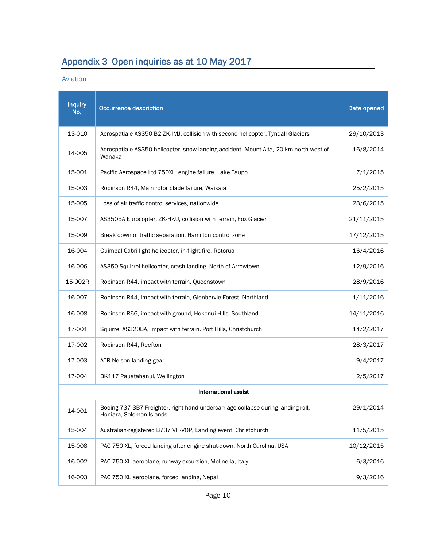# <span id="page-11-0"></span>Appendix 3 Open inquiries as at 10 May 2017

Aviation

| <b>Inquiry</b><br>No.       | <b>Occurrence description</b>                                                                                | Date opened |  |  |  |
|-----------------------------|--------------------------------------------------------------------------------------------------------------|-------------|--|--|--|
| 13-010                      | Aerospatiale AS350 B2 ZK-IMJ, collision with second helicopter, Tyndall Glaciers                             | 29/10/2013  |  |  |  |
| 14-005                      | Aerospatiale AS350 helicopter, snow landing accident, Mount Alta, 20 km north-west of<br>Wanaka              | 16/8/2014   |  |  |  |
| 15-001                      | Pacific Aerospace Ltd 750XL, engine failure, Lake Taupo                                                      | 7/1/2015    |  |  |  |
| 15-003                      | Robinson R44, Main rotor blade failure, Waikaia                                                              | 25/2/2015   |  |  |  |
| 15-005                      | Loss of air traffic control services, nationwide                                                             | 23/6/2015   |  |  |  |
| 15-007                      | AS350BA Eurocopter, ZK-HKU, collision with terrain, Fox Glacier                                              | 21/11/2015  |  |  |  |
| 15-009                      | Break down of traffic separation, Hamilton control zone                                                      | 17/12/2015  |  |  |  |
| 16-004                      | Guimbal Cabri light helicopter, in-flight fire, Rotorua                                                      | 16/4/2016   |  |  |  |
| 16-006                      | AS350 Squirrel helicopter, crash landing, North of Arrowtown                                                 | 12/9/2016   |  |  |  |
| 15-002R                     | Robinson R44, impact with terrain, Queenstown                                                                | 28/9/2016   |  |  |  |
| 16-007                      | Robinson R44, impact with terrain, Glenbervie Forest, Northland                                              | 1/11/2016   |  |  |  |
| 16-008                      | Robinson R66, impact with ground, Hokonui Hills, Southland                                                   | 14/11/2016  |  |  |  |
| 17-001                      | Squirrel AS320BA, impact with terrain, Port Hills, Christchurch                                              | 14/2/2017   |  |  |  |
| 17-002                      | Robinson R44, Reefton                                                                                        | 28/3/2017   |  |  |  |
| 17-003                      | ATR Nelson landing gear                                                                                      | 9/4/2017    |  |  |  |
| 17-004                      | BK117 Pauatahanui, Wellington                                                                                | 2/5/2017    |  |  |  |
| <b>International assist</b> |                                                                                                              |             |  |  |  |
| 14-001                      | Boeing 737-3B7 Freighter, right-hand undercarriage collapse during landing roll,<br>Honiara, Solomon Islands | 29/1/2014   |  |  |  |
| 15-004                      | Australian-registered B737 VH-VOP, Landing event, Christchurch                                               | 11/5/2015   |  |  |  |
| 15-008                      | PAC 750 XL, forced landing after engine shut-down, North Carolina, USA                                       | 10/12/2015  |  |  |  |
| 16-002                      | PAC 750 XL aeroplane, runway excursion, Molinella, Italy                                                     | 6/3/2016    |  |  |  |
| 16-003                      | PAC 750 XL aeroplane, forced landing, Nepal                                                                  | 9/3/2016    |  |  |  |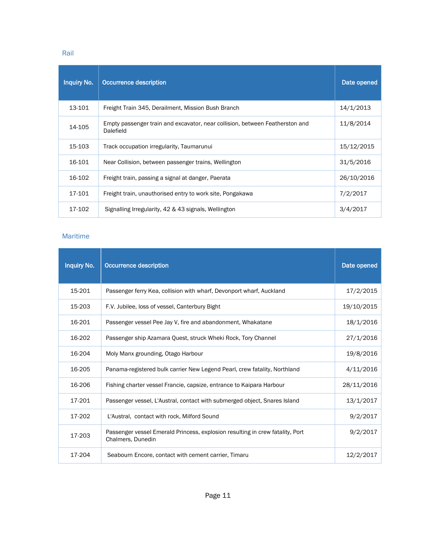Rail

| <b>Inquiry No.</b> | Occurrence description                                                                    | Date opened |
|--------------------|-------------------------------------------------------------------------------------------|-------------|
| 13-101             | Freight Train 345, Derailment, Mission Bush Branch                                        | 14/1/2013   |
| 14-105             | Empty passenger train and excavator, near collision, between Featherston and<br>Dalefield | 11/8/2014   |
| 15-103             | Track occupation irregularity, Taumarunui                                                 | 15/12/2015  |
| 16-101             | Near Collision, between passenger trains, Wellington                                      | 31/5/2016   |
| 16-102             | Freight train, passing a signal at danger, Paerata                                        | 26/10/2016  |
| 17-101             | Freight train, unauthorised entry to work site, Pongakawa                                 | 7/2/2017    |
| 17-102             | Signalling Irregularity, 42 & 43 signals, Wellington                                      | 3/4/2017    |

#### Maritime

| <b>Inquiry No.</b> | <b>Occurrence description</b>                                                                      | Date opened |
|--------------------|----------------------------------------------------------------------------------------------------|-------------|
| 15-201             | Passenger ferry Kea, collision with wharf, Devonport wharf, Auckland                               | 17/2/2015   |
| 15-203             | F.V. Jubilee, loss of vessel, Canterbury Bight                                                     | 19/10/2015  |
| 16-201             | Passenger vessel Pee Jay V, fire and abandonment, Whakatane                                        | 18/1/2016   |
| 16-202             | Passenger ship Azamara Quest, struck Wheki Rock, Tory Channel                                      | 27/1/2016   |
| 16-204             | Moly Manx grounding, Otago Harbour                                                                 | 19/8/2016   |
| 16-205             | Panama-registered bulk carrier New Legend Pearl, crew fatality, Northland                          | 4/11/2016   |
| 16-206             | Fishing charter vessel Francie, capsize, entrance to Kaipara Harbour                               | 28/11/2016  |
| 17-201             | Passenger vessel, L'Austral, contact with submerged object, Snares Island                          | 13/1/2017   |
| 17-202             | L'Austral, contact with rock, Milford Sound                                                        | 9/2/2017    |
| 17-203             | Passenger vessel Emerald Princess, explosion resulting in crew fatality, Port<br>Chalmers, Dunedin | 9/2/2017    |
| 17-204             | Seabourn Encore, contact with cement carrier, Timaru                                               | 12/2/2017   |